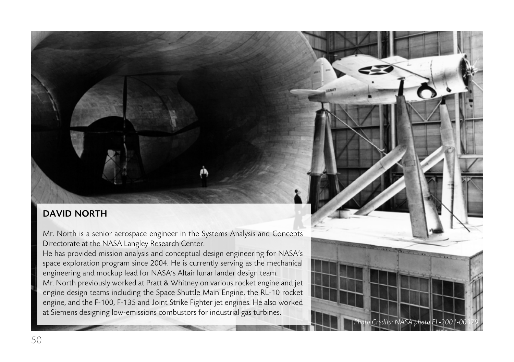## DAVID NORTH

Mr. North is a senior aerospace engineer in the Systems Analysis and Concepts Directorate at the NASA Langley Research Center.

He has provided mission analysis and conceptual design engineering for NASA's space exploration program since 2004. He is currently serving as the mechanical engineering and mockup lead for NASA's Altair lunar lander design team. Mr. North previously worked at Pratt & Whitney on various rocket engine and jet engine design teams including the Space Shuttle Main Engine, the RL-10 rocket engine, and the F-100, F-135 and Joint Strike Fighter jet engines. He also worked at Siemens designing low-emissions combustors for industrial gas turbines.